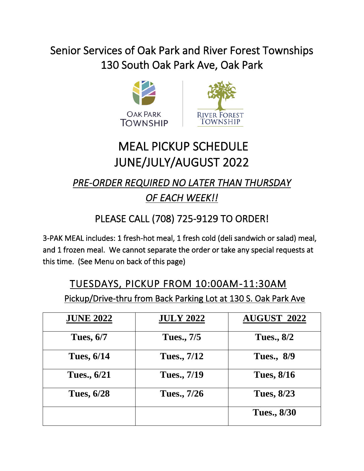# Senior Services of Oak Park and River Forest Townships 130 South Oak Park Ave, Oak Park





# MEAL PICKUP SCHEDULE JUNE/JULY/AUGUST 2022

#### *PRE-ORDER REQUIRED NO LATER THAN THURSDAY OF EACH WEEK!!*

### PLEASE CALL (708) 725-9129 TO ORDER!

3-PAK MEAL includes: 1 fresh-hot meal, 1 fresh cold (deli sandwich or salad) meal, and 1 frozen meal. We cannot separate the order or take any special requests at this time. (See Menu on back of this page)

## TUESDAYS, PICKUP FROM 10:00AM-11:30AM Pickup/Drive-thru from Back Parking Lot at 130 S. Oak Park Ave

| <b>JUNE 2022</b>  | <b>JULY 2022</b> | <b>AUGUST 2022</b> |
|-------------------|------------------|--------------------|
| <b>Tues, 6/7</b>  | Tues., 7/5       | <b>Tues., 8/2</b>  |
| <b>Tues, 6/14</b> | Tues., 7/12      | <b>Tues., 8/9</b>  |
| Tues., 6/21       | Tues., 7/19      | <b>Tues, 8/16</b>  |
| <b>Tues, 6/28</b> | Tues., 7/26      | <b>Tues, 8/23</b>  |
|                   |                  | <b>Tues., 8/30</b> |